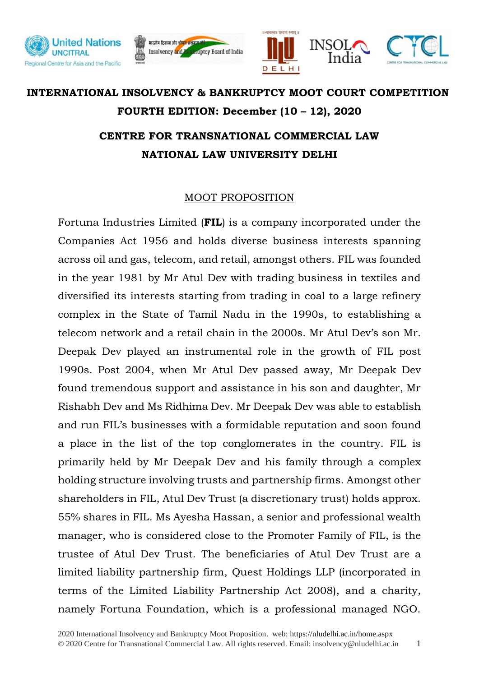





## **INTERNATIONAL INSOLVENCY & BANKRUPTCY MOOT COURT COMPETITION FOURTH EDITION: December (10 – 12), 2020 CENTRE FOR TRANSNATIONAL COMMERCIAL LAW NATIONAL LAW UNIVERSITY DELHI**

## MOOT PROPOSITION

Fortuna Industries Limited (**FIL**) is a company incorporated under the Companies Act 1956 and holds diverse business interests spanning across oil and gas, telecom, and retail, amongst others. FIL was founded in the year 1981 by Mr Atul Dev with trading business in textiles and diversified its interests starting from trading in coal to a large refinery complex in the State of Tamil Nadu in the 1990s, to establishing a telecom network and a retail chain in the 2000s. Mr Atul Dev's son Mr. Deepak Dev played an instrumental role in the growth of FIL post 1990s. Post 2004, when Mr Atul Dev passed away, Mr Deepak Dev found tremendous support and assistance in his son and daughter, Mr Rishabh Dev and Ms Ridhima Dev. Mr Deepak Dev was able to establish and run FIL's businesses with a formidable reputation and soon found a place in the list of the top conglomerates in the country. FIL is primarily held by Mr Deepak Dev and his family through a complex holding structure involving trusts and partnership firms. Amongst other shareholders in FIL, Atul Dev Trust (a discretionary trust) holds approx. 55% shares in FIL. Ms Ayesha Hassan, a senior and professional wealth manager, who is considered close to the Promoter Family of FIL, is the trustee of Atul Dev Trust. The beneficiaries of Atul Dev Trust are a limited liability partnership firm, Quest Holdings LLP (incorporated in terms of the Limited Liability Partnership Act 2008), and a charity, namely Fortuna Foundation, which is a professional managed NGO.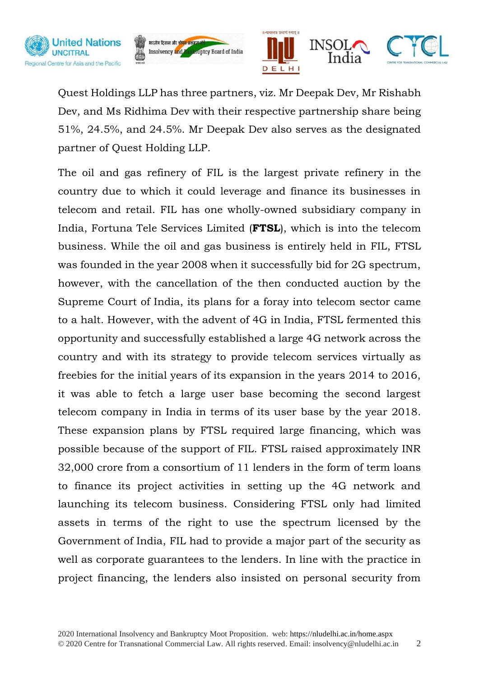





Quest Holdings LLP has three partners, viz. Mr Deepak Dev, Mr Rishabh Dev, and Ms Ridhima Dev with their respective partnership share being 51%, 24.5%, and 24.5%. Mr Deepak Dev also serves as the designated partner of Quest Holding LLP.

The oil and gas refinery of FIL is the largest private refinery in the country due to which it could leverage and finance its businesses in telecom and retail. FIL has one wholly-owned subsidiary company in India, Fortuna Tele Services Limited (**FTSL**), which is into the telecom business. While the oil and gas business is entirely held in FIL, FTSL was founded in the year 2008 when it successfully bid for 2G spectrum, however, with the cancellation of the then conducted auction by the Supreme Court of India, its plans for a foray into telecom sector came to a halt. However, with the advent of 4G in India, FTSL fermented this opportunity and successfully established a large 4G network across the country and with its strategy to provide telecom services virtually as freebies for the initial years of its expansion in the years 2014 to 2016, it was able to fetch a large user base becoming the second largest telecom company in India in terms of its user base by the year 2018. These expansion plans by FTSL required large financing, which was possible because of the support of FIL. FTSL raised approximately INR 32,000 crore from a consortium of 11 lenders in the form of term loans to finance its project activities in setting up the 4G network and launching its telecom business. Considering FTSL only had limited assets in terms of the right to use the spectrum licensed by the Government of India, FIL had to provide a major part of the security as well as corporate guarantees to the lenders. In line with the practice in project financing, the lenders also insisted on personal security from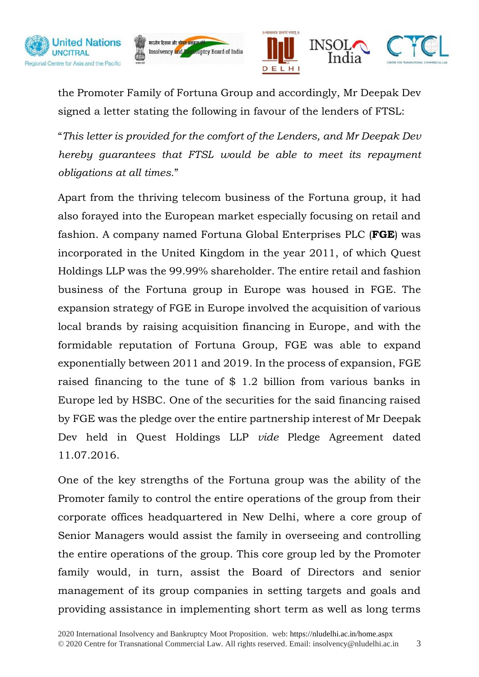





the Promoter Family of Fortuna Group and accordingly, Mr Deepak Dev signed a letter stating the following in favour of the lenders of FTSL:

"*This letter is provided for the comfort of the Lenders, and Mr Deepak Dev hereby guarantees that FTSL would be able to meet its repayment obligations at all times.*"

Apart from the thriving telecom business of the Fortuna group, it had also forayed into the European market especially focusing on retail and fashion. A company named Fortuna Global Enterprises PLC (**FGE**) was incorporated in the United Kingdom in the year 2011, of which Quest Holdings LLP was the 99.99% shareholder. The entire retail and fashion business of the Fortuna group in Europe was housed in FGE. The expansion strategy of FGE in Europe involved the acquisition of various local brands by raising acquisition financing in Europe, and with the formidable reputation of Fortuna Group, FGE was able to expand exponentially between 2011 and 2019. In the process of expansion, FGE raised financing to the tune of \$ 1.2 billion from various banks in Europe led by HSBC. One of the securities for the said financing raised by FGE was the pledge over the entire partnership interest of Mr Deepak Dev held in Quest Holdings LLP *vide* Pledge Agreement dated 11.07.2016.

One of the key strengths of the Fortuna group was the ability of the Promoter family to control the entire operations of the group from their corporate offices headquartered in New Delhi, where a core group of Senior Managers would assist the family in overseeing and controlling the entire operations of the group. This core group led by the Promoter family would, in turn, assist the Board of Directors and senior management of its group companies in setting targets and goals and providing assistance in implementing short term as well as long terms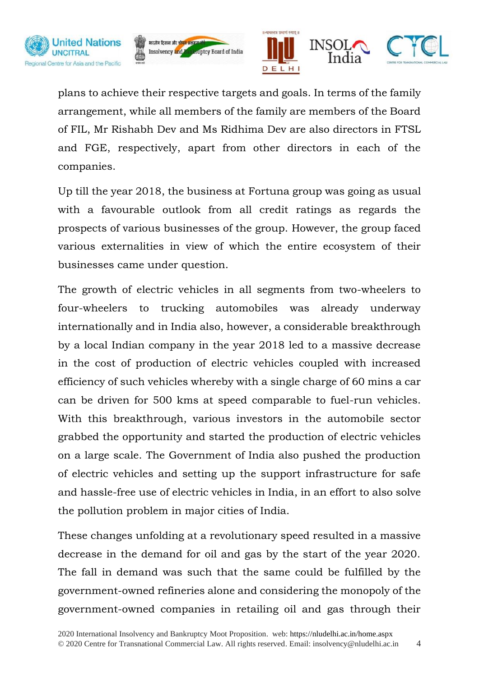







plans to achieve their respective targets and goals. In terms of the family arrangement, while all members of the family are members of the Board of FIL, Mr Rishabh Dev and Ms Ridhima Dev are also directors in FTSL and FGE, respectively, apart from other directors in each of the companies.

Up till the year 2018, the business at Fortuna group was going as usual with a favourable outlook from all credit ratings as regards the prospects of various businesses of the group. However, the group faced various externalities in view of which the entire ecosystem of their businesses came under question.

The growth of electric vehicles in all segments from two-wheelers to four-wheelers to trucking automobiles was already underway internationally and in India also, however, a considerable breakthrough by a local Indian company in the year 2018 led to a massive decrease in the cost of production of electric vehicles coupled with increased efficiency of such vehicles whereby with a single charge of 60 mins a car can be driven for 500 kms at speed comparable to fuel-run vehicles. With this breakthrough, various investors in the automobile sector grabbed the opportunity and started the production of electric vehicles on a large scale. The Government of India also pushed the production of electric vehicles and setting up the support infrastructure for safe and hassle-free use of electric vehicles in India, in an effort to also solve the pollution problem in major cities of India.

These changes unfolding at a revolutionary speed resulted in a massive decrease in the demand for oil and gas by the start of the year 2020. The fall in demand was such that the same could be fulfilled by the government-owned refineries alone and considering the monopoly of the government-owned companies in retailing oil and gas through their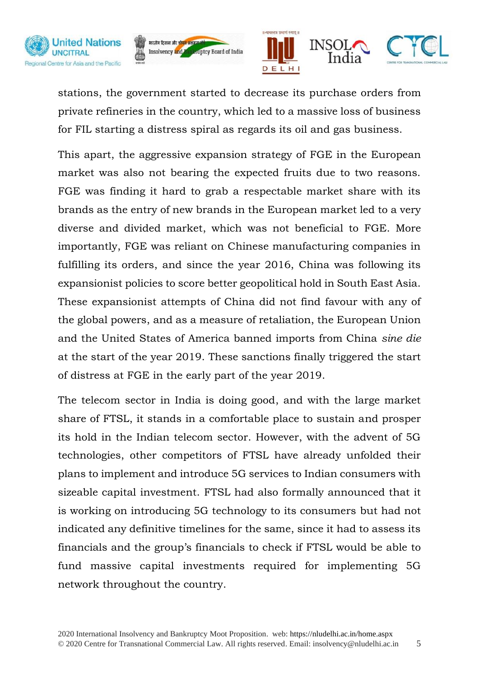







stations, the government started to decrease its purchase orders from private refineries in the country, which led to a massive loss of business for FIL starting a distress spiral as regards its oil and gas business.

This apart, the aggressive expansion strategy of FGE in the European market was also not bearing the expected fruits due to two reasons. FGE was finding it hard to grab a respectable market share with its brands as the entry of new brands in the European market led to a very diverse and divided market, which was not beneficial to FGE. More importantly, FGE was reliant on Chinese manufacturing companies in fulfilling its orders, and since the year 2016, China was following its expansionist policies to score better geopolitical hold in South East Asia. These expansionist attempts of China did not find favour with any of the global powers, and as a measure of retaliation, the European Union and the United States of America banned imports from China *sine die* at the start of the year 2019. These sanctions finally triggered the start of distress at FGE in the early part of the year 2019.

The telecom sector in India is doing good, and with the large market share of FTSL, it stands in a comfortable place to sustain and prosper its hold in the Indian telecom sector. However, with the advent of 5G technologies, other competitors of FTSL have already unfolded their plans to implement and introduce 5G services to Indian consumers with sizeable capital investment. FTSL had also formally announced that it is working on introducing 5G technology to its consumers but had not indicated any definitive timelines for the same, since it had to assess its financials and the group's financials to check if FTSL would be able to fund massive capital investments required for implementing 5G network throughout the country.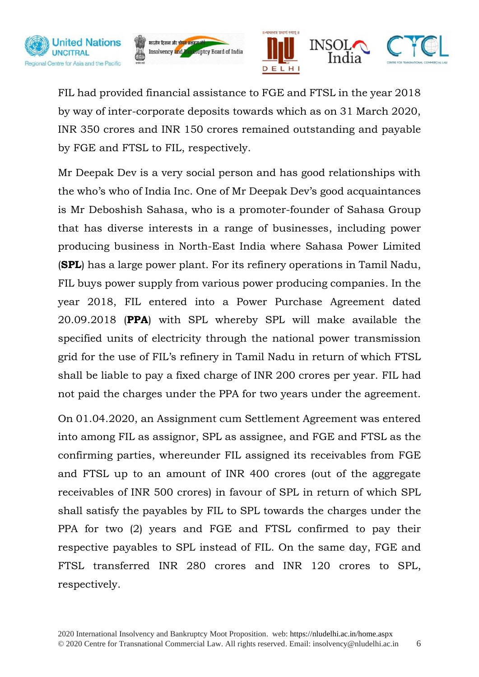





FIL had provided financial assistance to FGE and FTSL in the year 2018 by way of inter-corporate deposits towards which as on 31 March 2020, INR 350 crores and INR 150 crores remained outstanding and payable by FGE and FTSL to FIL, respectively.

Mr Deepak Dev is a very social person and has good relationships with the who's who of India Inc. One of Mr Deepak Dev's good acquaintances is Mr Deboshish Sahasa, who is a promoter-founder of Sahasa Group that has diverse interests in a range of businesses, including power producing business in North-East India where Sahasa Power Limited (**SPL**) has a large power plant. For its refinery operations in Tamil Nadu, FIL buys power supply from various power producing companies. In the year 2018, FIL entered into a Power Purchase Agreement dated 20.09.2018 (**PPA**) with SPL whereby SPL will make available the specified units of electricity through the national power transmission grid for the use of FIL's refinery in Tamil Nadu in return of which FTSL shall be liable to pay a fixed charge of INR 200 crores per year. FIL had not paid the charges under the PPA for two years under the agreement.

On 01.04.2020, an Assignment cum Settlement Agreement was entered into among FIL as assignor, SPL as assignee, and FGE and FTSL as the confirming parties, whereunder FIL assigned its receivables from FGE and FTSL up to an amount of INR 400 crores (out of the aggregate receivables of INR 500 crores) in favour of SPL in return of which SPL shall satisfy the payables by FIL to SPL towards the charges under the PPA for two (2) years and FGE and FTSL confirmed to pay their respective payables to SPL instead of FIL. On the same day, FGE and FTSL transferred INR 280 crores and INR 120 crores to SPL, respectively.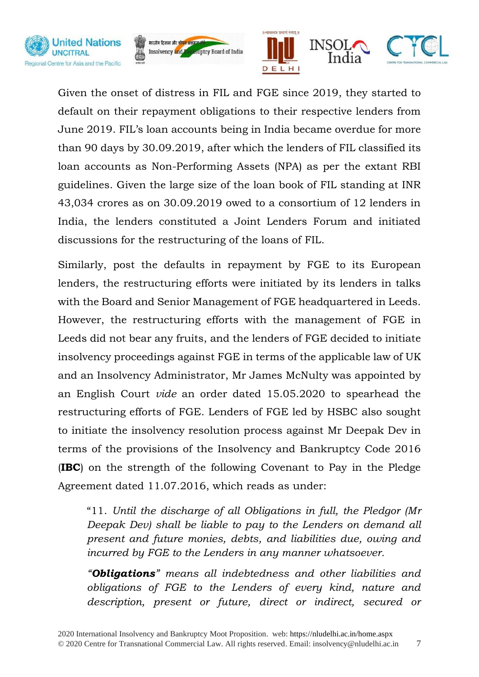





Given the onset of distress in FIL and FGE since 2019, they started to default on their repayment obligations to their respective lenders from June 2019. FIL's loan accounts being in India became overdue for more than 90 days by 30.09.2019, after which the lenders of FIL classified its loan accounts as Non-Performing Assets (NPA) as per the extant RBI guidelines. Given the large size of the loan book of FIL standing at INR 43,034 crores as on 30.09.2019 owed to a consortium of 12 lenders in India, the lenders constituted a Joint Lenders Forum and initiated discussions for the restructuring of the loans of FIL.

Similarly, post the defaults in repayment by FGE to its European lenders, the restructuring efforts were initiated by its lenders in talks with the Board and Senior Management of FGE headquartered in Leeds. However, the restructuring efforts with the management of FGE in Leeds did not bear any fruits, and the lenders of FGE decided to initiate insolvency proceedings against FGE in terms of the applicable law of UK and an Insolvency Administrator, Mr James McNulty was appointed by an English Court *vide* an order dated 15.05.2020 to spearhead the restructuring efforts of FGE. Lenders of FGE led by HSBC also sought to initiate the insolvency resolution process against Mr Deepak Dev in terms of the provisions of the Insolvency and Bankruptcy Code 2016 (**IBC**) on the strength of the following Covenant to Pay in the Pledge Agreement dated 11.07.2016, which reads as under:

"11. *Until the discharge of all Obligations in full, the Pledgor (Mr Deepak Dev) shall be liable to pay to the Lenders on demand all present and future monies, debts, and liabilities due, owing and incurred by FGE to the Lenders in any manner whatsoever.*

*"Obligations" means all indebtedness and other liabilities and obligations of FGE to the Lenders of every kind, nature and description, present or future, direct or indirect, secured or*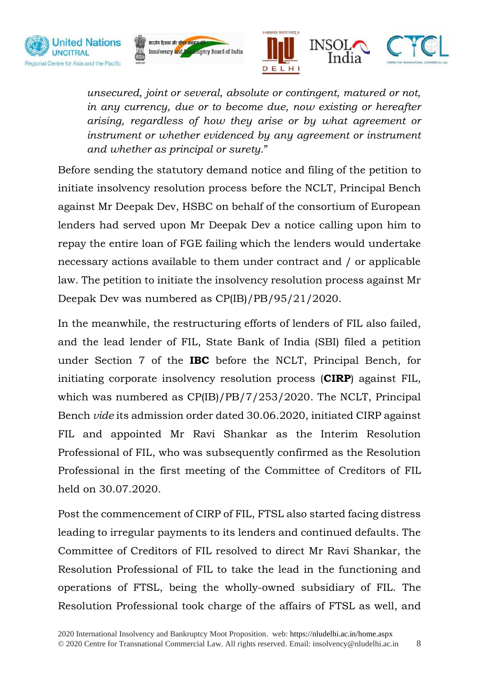





*unsecured, joint or several, absolute or contingent, matured or not, in any currency, due or to become due, now existing or hereafter arising, regardless of how they arise or by what agreement or instrument or whether evidenced by any agreement or instrument and whether as principal or surety.*"

Before sending the statutory demand notice and filing of the petition to initiate insolvency resolution process before the NCLT, Principal Bench against Mr Deepak Dev, HSBC on behalf of the consortium of European lenders had served upon Mr Deepak Dev a notice calling upon him to repay the entire loan of FGE failing which the lenders would undertake necessary actions available to them under contract and / or applicable law. The petition to initiate the insolvency resolution process against Mr Deepak Dev was numbered as CP(IB)/PB/95/21/2020.

In the meanwhile, the restructuring efforts of lenders of FIL also failed, and the lead lender of FIL, State Bank of India (SBI) filed a petition under Section 7 of the **IBC** before the NCLT, Principal Bench, for initiating corporate insolvency resolution process (**CIRP**) against FIL, which was numbered as CP(IB)/PB/7/253/2020. The NCLT, Principal Bench *vide* its admission order dated 30.06.2020, initiated CIRP against FIL and appointed Mr Ravi Shankar as the Interim Resolution Professional of FIL, who was subsequently confirmed as the Resolution Professional in the first meeting of the Committee of Creditors of FIL held on 30.07.2020.

Post the commencement of CIRP of FIL, FTSL also started facing distress leading to irregular payments to its lenders and continued defaults. The Committee of Creditors of FIL resolved to direct Mr Ravi Shankar, the Resolution Professional of FIL to take the lead in the functioning and operations of FTSL, being the wholly-owned subsidiary of FIL. The Resolution Professional took charge of the affairs of FTSL as well, and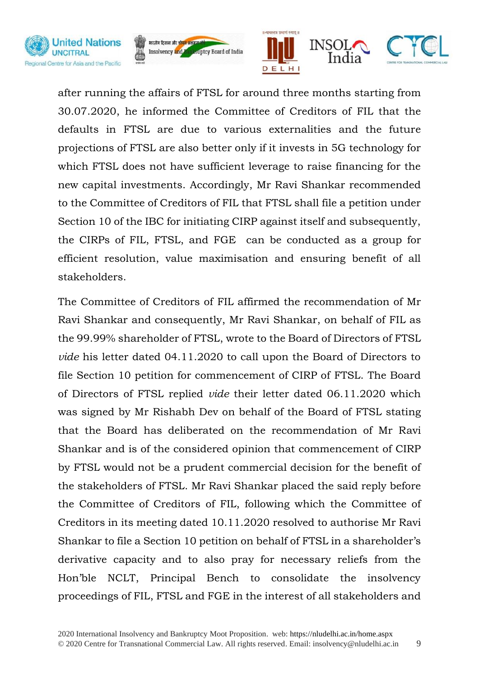





after running the affairs of FTSL for around three months starting from 30.07.2020, he informed the Committee of Creditors of FIL that the defaults in FTSL are due to various externalities and the future projections of FTSL are also better only if it invests in 5G technology for which FTSL does not have sufficient leverage to raise financing for the new capital investments. Accordingly, Mr Ravi Shankar recommended to the Committee of Creditors of FIL that FTSL shall file a petition under Section 10 of the IBC for initiating CIRP against itself and subsequently, the CIRPs of FIL, FTSL, and FGE can be conducted as a group for efficient resolution, value maximisation and ensuring benefit of all stakeholders.

The Committee of Creditors of FIL affirmed the recommendation of Mr Ravi Shankar and consequently, Mr Ravi Shankar, on behalf of FIL as the 99.99% shareholder of FTSL, wrote to the Board of Directors of FTSL *vide* his letter dated 04.11.2020 to call upon the Board of Directors to file Section 10 petition for commencement of CIRP of FTSL. The Board of Directors of FTSL replied *vide* their letter dated 06.11.2020 which was signed by Mr Rishabh Dev on behalf of the Board of FTSL stating that the Board has deliberated on the recommendation of Mr Ravi Shankar and is of the considered opinion that commencement of CIRP by FTSL would not be a prudent commercial decision for the benefit of the stakeholders of FTSL. Mr Ravi Shankar placed the said reply before the Committee of Creditors of FIL, following which the Committee of Creditors in its meeting dated 10.11.2020 resolved to authorise Mr Ravi Shankar to file a Section 10 petition on behalf of FTSL in a shareholder's derivative capacity and to also pray for necessary reliefs from the Hon'ble NCLT, Principal Bench to consolidate the insolvency proceedings of FIL, FTSL and FGE in the interest of all stakeholders and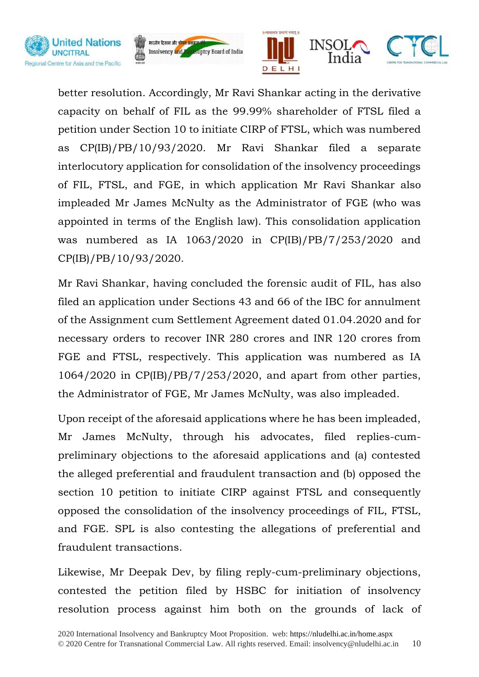





better resolution. Accordingly, Mr Ravi Shankar acting in the derivative capacity on behalf of FIL as the 99.99% shareholder of FTSL filed a petition under Section 10 to initiate CIRP of FTSL, which was numbered as CP(IB)/PB/10/93/2020. Mr Ravi Shankar filed a separate interlocutory application for consolidation of the insolvency proceedings of FIL, FTSL, and FGE, in which application Mr Ravi Shankar also impleaded Mr James McNulty as the Administrator of FGE (who was appointed in terms of the English law). This consolidation application was numbered as IA 1063/2020 in CP(IB)/PB/7/253/2020 and CP(IB)/PB/10/93/2020.

Mr Ravi Shankar, having concluded the forensic audit of FIL, has also filed an application under Sections 43 and 66 of the IBC for annulment of the Assignment cum Settlement Agreement dated 01.04.2020 and for necessary orders to recover INR 280 crores and INR 120 crores from FGE and FTSL, respectively. This application was numbered as IA 1064/2020 in CP(IB)/PB/7/253/2020, and apart from other parties, the Administrator of FGE, Mr James McNulty, was also impleaded.

Upon receipt of the aforesaid applications where he has been impleaded, Mr James McNulty, through his advocates, filed replies-cumpreliminary objections to the aforesaid applications and (a) contested the alleged preferential and fraudulent transaction and (b) opposed the section 10 petition to initiate CIRP against FTSL and consequently opposed the consolidation of the insolvency proceedings of FIL, FTSL, and FGE. SPL is also contesting the allegations of preferential and fraudulent transactions.

Likewise, Mr Deepak Dev, by filing reply-cum-preliminary objections, contested the petition filed by HSBC for initiation of insolvency resolution process against him both on the grounds of lack of